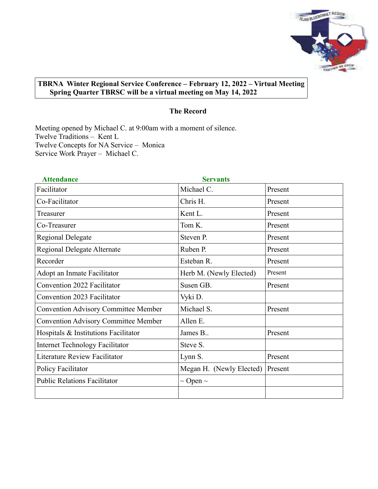

# **TBRNA Winter Regional Service Conference – February 12, 2022 – Virtual Meeting Spring Quarter TBRSC will be a virtual meeting on May 14, 2022**

## **The Record**

Meeting opened by Michael C. at 9:00am with a moment of silence. Twelve Traditions – Kent L Twelve Concepts for NA Service – Monica Service Work Prayer – Michael C.

| <b>Attendance</b>                           | <b>Servants</b>          |         |
|---------------------------------------------|--------------------------|---------|
| Facilitator                                 | Michael C.               | Present |
| Co-Facilitator                              | Chris H.                 | Present |
| Treasurer                                   | Kent L.                  | Present |
| Co-Treasurer                                | Tom K.                   | Present |
| <b>Regional Delegate</b>                    | Steven P.                | Present |
| Regional Delegate Alternate                 | Ruben P.                 | Present |
| Recorder                                    | Esteban R.               | Present |
| Adopt an Inmate Facilitator                 | Herb M. (Newly Elected)  | Present |
| Convention 2022 Facilitator                 | Susen GB.                | Present |
| Convention 2023 Facilitator                 | Vyki D.                  |         |
| <b>Convention Advisory Committee Member</b> | Michael S.               | Present |
| <b>Convention Advisory Committee Member</b> | Allen E.                 |         |
| Hospitals & Institutions Facilitator        | James B                  | Present |
| <b>Internet Technology Facilitator</b>      | Steve S.                 |         |
| <b>Literature Review Facilitator</b>        | Lynn S.                  | Present |
| Policy Facilitator                          | Megan H. (Newly Elected) | Present |
| <b>Public Relations Facilitator</b>         | $\sim$ Open $\sim$       |         |
|                                             |                          |         |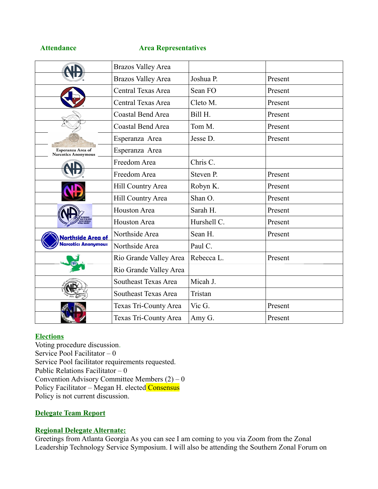#### **Attendance Area Representatives**

|                                                 | <b>Brazos Valley Area</b>   |             |         |
|-------------------------------------------------|-----------------------------|-------------|---------|
|                                                 | <b>Brazos Valley Area</b>   | Joshua P.   | Present |
|                                                 | Central Texas Area          | Sean FO     | Present |
|                                                 | Central Texas Area          | Cleto M.    | Present |
|                                                 | Coastal Bend Area           | Bill H.     | Present |
|                                                 | <b>Coastal Bend Area</b>    | Tom M.      | Present |
|                                                 | Esperanza Area              | Jesse D.    | Present |
| Esperanza Area of<br><b>Narcotics Anonymous</b> | Esperanza Area              |             |         |
|                                                 | Freedom Area                | Chris C.    |         |
|                                                 | Freedom Area                | Steven P.   | Present |
|                                                 | Hill Country Area           | Robyn K.    | Present |
|                                                 | Hill Country Area           | Shan O.     | Present |
|                                                 | <b>Houston Area</b>         | Sarah H.    | Present |
|                                                 | Houston Area                | Hurshell C. | Present |
| Northside Area of                               | Northside Area              | Sean H.     | Present |
| r <b>cotic</b> s Anonymous                      | Northside Area              | Paul C.     |         |
|                                                 | Rio Grande Valley Area      | Rebecca L.  | Present |
|                                                 | Rio Grande Valley Area      |             |         |
|                                                 | <b>Southeast Texas Area</b> | Micah J.    |         |
|                                                 | <b>Southeast Texas Area</b> | Tristan     |         |
|                                                 | Texas Tri-County Area       | Vic G.      | Present |
|                                                 | Texas Tri-County Area       | Amy G.      | Present |

## **Elections**

Voting procedure discussion. Service Pool Facilitator – 0 Service Pool facilitator requirements requested. Public Relations Facilitator  $-0$ Convention Advisory Committee Members  $(2) - 0$ Policy Facilitator – Megan H. elected Consensus Policy is not current discussion.

## **Delegate Team Report**

# **Regional Delegate Alternate:**

Greetings from Atlanta Georgia As you can see I am coming to you via Zoom from the Zonal Leadership Technology Service Symposium. I will also be attending the Southern Zonal Forum on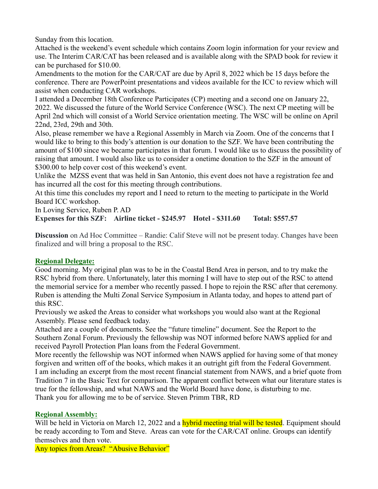Sunday from this location.

Attached is the weekend's event schedule which contains Zoom login information for your review and use. The Interim CAR/CAT has been released and is available along with the SPAD book for review it can be purchased for \$10.00.

Amendments to the motion for the CAR/CAT are due by April 8, 2022 which be 15 days before the conference. There are PowerPoint presentations and videos available for the ICC to review which will assist when conducting CAR workshops.

I attended a December 18th Conference Participates (CP) meeting and a second one on January 22, 2022. We discussed the future of the World Service Conference (WSC). The next CP meeting will be April 2nd which will consist of a World Service orientation meeting. The WSC will be online on April 22nd, 23rd, 29th and 30th.

Also, please remember we have a Regional Assembly in March via Zoom. One of the concerns that I would like to bring to this body's attention is our donation to the SZF. We have been contributing the amount of \$100 since we became participates in that forum. I would like us to discuss the possibility of raising that amount. I would also like us to consider a onetime donation to the SZF in the amount of \$300.00 to help cover cost of this weekend's event.

Unlike the MZSS event that was held in San Antonio, this event does not have a registration fee and has incurred all the cost for this meeting through contributions.

At this time this concludes my report and I need to return to the meeting to participate in the World Board ICC workshop.

In Loving Service, Ruben P. AD

**Expenses for this SZF: Airline ticket - \$245.97 Hotel - \$311.60 Total: \$557.57**

**Discussion** on Ad Hoc Committee – Randie: Calif Steve will not be present today. Changes have been finalized and will bring a proposal to the RSC.

# **Regional Delegate:**

Good morning. My original plan was to be in the Coastal Bend Area in person, and to try make the RSC hybrid from there. Unfortunately, later this morning I will have to step out of the RSC to attend the memorial service for a member who recently passed. I hope to rejoin the RSC after that ceremony. Ruben is attending the Multi Zonal Service Symposium in Atlanta today, and hopes to attend part of this RSC.

Previously we asked the Areas to consider what workshops you would also want at the Regional Assembly. Please send feedback today.

Attached are a couple of documents. See the "future timeline" document. See the Report to the Southern Zonal Forum. Previously the fellowship was NOT informed before NAWS applied for and received Payroll Protection Plan loans from the Federal Government.

More recently the fellowship was NOT informed when NAWS applied for having some of that money forgiven and written off of the books, which makes it an outright gift from the Federal Government. I am including an excerpt from the most recent financial statement from NAWS, and a brief quote from Tradition 7 in the Basic Text for comparison. The apparent conflict between what our literature states is true for the fellowship, and what NAWS and the World Board have done, is disturbing to me. Thank you for allowing me to be of service. Steven Primm TBR, RD

# **Regional Assembly:**

Will be held in Victoria on March 12, 2022 and a **hybrid meeting trial will be tested**. Equipment should be ready according to Tom and Steve. Areas can vote for the CAR/CAT online. Groups can identify themselves and then vote.

Any topics from Areas? "Abusive Behavior"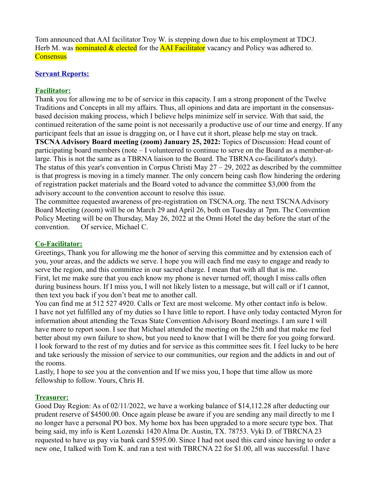Tom announced that AAI facilitator Troy W. is stepping down due to his employment at TDCJ. Herb M. was nominated & elected for the **AAI Facilitator** vacancy and Policy was adhered to. **Consensus** 

## **Servant Reports:**

## **Facilitator:**

Thank you for allowing me to be of service in this capacity. I am a strong proponent of the Twelve Traditions and Concepts in all my affairs. Thus, all opinions and data are important in the consensusbased decision making process, which I believe helps minimize self in service. With that said, the continued reiteration of the same point is not necessarily a productive use of our time and energy. If any participant feels that an issue is dragging on, or I have cut it short, please help me stay on track. **TSCNA Advisory Board meeting (zoom) January 25, 2022:** Topics of Discussion: Head count of participating board members (note – I volunteered to continue to serve on the Board as a member-atlarge. This is not the same as a TBRNA liaison to the Board. The TBRNA co-facilitator's duty). The status of this year's convention in Corpus Christi May  $27 - 29$ , 2022 as described by the committee is that progress is moving in a timely manner. The only concern being cash flow hindering the ordering of registration packet materials and the Board voted to advance the committee \$3,000 from the advisory account to the convention account to resolve this issue.

The committee requested awareness of pre-registration on TSCNA.org. The next TSCNA Advisory Board Meeting (zoom) will be on March 29 and April 26, both on Tuesday at 7pm. The Convention Policy Meeting will be on Thursday, May 26, 2022 at the Omni Hotel the day before the start of the convention. Of service, Michael C.

## **Co-Facilitator:**

Greetings, Thank you for allowing me the honor of serving this committee and by extension each of you, your areas, and the addicts we serve. I hope you will each find me easy to engage and ready to serve the region, and this committee in our sacred charge. I mean that with all that is me. First, let me make sure that you each know my phone is never turned off, though I miss calls often during business hours. If I miss you, I will not likely listen to a message, but will call or if I cannot, then text you back if you don't beat me to another call.

You can find me at 512 527 4920. Calls or Text are most welcome. My other contact info is below. I have not yet fulfilled any of my duties so I have little to report. I have only today contacted Myron for information about attending the Texas State Convention Advisory Board meetings. I am sure I will have more to report soon. I see that Michael attended the meeting on the 25th and that make me feel better about my own failure to show, but you need to know that I will be there for you going forward. I look forward to the rest of my duties and for service as this committee sees fit. I feel lucky to be here and take seriously the mission of service to our communities, our region and the addicts in and out of the rooms.

Lastly, I hope to see you at the convention and If we miss you, I hope that time allow us more fellowship to follow. Yours, Chris H.

## **Treasurer:**

Good Day Region: As of 02/11/2022, we have a working balance of \$14,112.28 after deducting our prudent reserve of \$4500.00. Once again please be aware if you are sending any mail directly to me I no longer have a personal PO box. My home box has been upgraded to a more secure type box. That being said, my info is Kent Lozenski 1420 Alma Dr. Austin, TX. 78753. Vyki D. of TBRCNA 23 requested to have us pay via bank card \$595.00. Since I had not used this card since having to order a new one, I talked with Tom K. and ran a test with TBRCNA 22 for \$1.00, all was successful. I have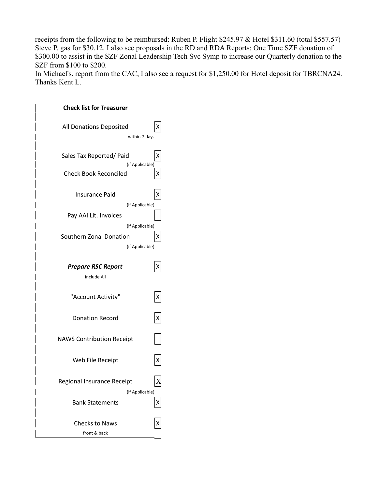receipts from the following to be reimbursed: Ruben P. Flight \$245.97 & Hotel \$311.60 (total \$557.57) Steve P. gas for \$30.12. I also see proposals in the RD and RDA Reports: One Time SZF donation of \$300.00 to assist in the SZF Zonal Leadership Tech Svc Symp to increase our Quarterly donation to the SZF from \$100 to \$200.

In Michael's. report from the CAC, I also see a request for \$1,250.00 for Hotel deposit for TBRCNA24. Thanks Kent L.

| All Donations Deposited<br>х<br>within 7 days<br>Sales Tax Reported/ Paid<br>х<br>(if Applicable)<br><b>Check Book Reconciled</b><br>X<br>Insurance Paid<br>(if Applicable)<br>Pay AAI Lit. Invoices<br>(if Applicable)<br>Southern Zonal Donation<br>Χ<br>(if Applicable)<br><b>Prepare RSC Report</b><br>X<br>include All<br>"Account Activity"<br>$\pmb{\mathsf{X}}$<br>$\boldsymbol{\mathsf{X}}$<br><b>Donation Record</b><br><b>NAWS Contribution Receipt</b><br>Web File Receipt<br>Χ<br>$\overline{X}$<br>Regional Insurance Receipt<br>(if Applicable)<br><b>Bank Statements</b><br>X<br><b>Checks to Naws</b><br>front & back | <b>Check list for Treasurer</b> |  |
|----------------------------------------------------------------------------------------------------------------------------------------------------------------------------------------------------------------------------------------------------------------------------------------------------------------------------------------------------------------------------------------------------------------------------------------------------------------------------------------------------------------------------------------------------------------------------------------------------------------------------------------|---------------------------------|--|
|                                                                                                                                                                                                                                                                                                                                                                                                                                                                                                                                                                                                                                        |                                 |  |
|                                                                                                                                                                                                                                                                                                                                                                                                                                                                                                                                                                                                                                        |                                 |  |
|                                                                                                                                                                                                                                                                                                                                                                                                                                                                                                                                                                                                                                        |                                 |  |
|                                                                                                                                                                                                                                                                                                                                                                                                                                                                                                                                                                                                                                        |                                 |  |
|                                                                                                                                                                                                                                                                                                                                                                                                                                                                                                                                                                                                                                        |                                 |  |
|                                                                                                                                                                                                                                                                                                                                                                                                                                                                                                                                                                                                                                        |                                 |  |
|                                                                                                                                                                                                                                                                                                                                                                                                                                                                                                                                                                                                                                        |                                 |  |
|                                                                                                                                                                                                                                                                                                                                                                                                                                                                                                                                                                                                                                        |                                 |  |
|                                                                                                                                                                                                                                                                                                                                                                                                                                                                                                                                                                                                                                        |                                 |  |
|                                                                                                                                                                                                                                                                                                                                                                                                                                                                                                                                                                                                                                        |                                 |  |
|                                                                                                                                                                                                                                                                                                                                                                                                                                                                                                                                                                                                                                        |                                 |  |
|                                                                                                                                                                                                                                                                                                                                                                                                                                                                                                                                                                                                                                        |                                 |  |
|                                                                                                                                                                                                                                                                                                                                                                                                                                                                                                                                                                                                                                        |                                 |  |
|                                                                                                                                                                                                                                                                                                                                                                                                                                                                                                                                                                                                                                        |                                 |  |
|                                                                                                                                                                                                                                                                                                                                                                                                                                                                                                                                                                                                                                        |                                 |  |
|                                                                                                                                                                                                                                                                                                                                                                                                                                                                                                                                                                                                                                        |                                 |  |
|                                                                                                                                                                                                                                                                                                                                                                                                                                                                                                                                                                                                                                        |                                 |  |
|                                                                                                                                                                                                                                                                                                                                                                                                                                                                                                                                                                                                                                        |                                 |  |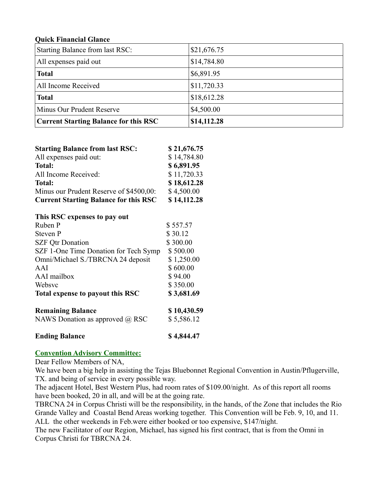## **Quick Financial Glance**

| Starting Balance from last RSC:              | \$21,676.75 |
|----------------------------------------------|-------------|
| All expenses paid out                        | \$14,784.80 |
| <b>Total</b>                                 | \$6,891.95  |
| All Income Received                          | \$11,720.33 |
| <b>Total</b>                                 | \$18,612.28 |
| Minus Our Prudent Reserve                    | \$4,500.00  |
| <b>Current Starting Balance for this RSC</b> | \$14,112.28 |

| <b>Starting Balance from last RSC:</b>       | \$21,676.75 |
|----------------------------------------------|-------------|
| All expenses paid out:                       | \$14,784.80 |
| <b>Total:</b>                                | \$6,891.95  |
| All Income Received:                         | \$11,720.33 |
| <b>Total:</b>                                | \$18,612.28 |
| Minus our Prudent Reserve of \$4500,00:      | \$4,500.00  |
| <b>Current Starting Balance for this RSC</b> | \$14,112.28 |

| This RSC expenses to pay out           |             |
|----------------------------------------|-------------|
| Ruben P                                | \$557.57    |
| <b>Steven P</b>                        | \$30.12     |
| <b>SZF Otr Donation</b>                | \$300.00    |
| SZF 1-One Time Donation for Tech Symp  | \$500.00    |
| Omni/Michael S./TBRCNA 24 deposit      | \$1,250.00  |
| AAI                                    | \$600.00    |
| AAI mailbox                            | \$94.00     |
| Websyc                                 | \$350.00    |
| Total expense to payout this RSC       | \$3,681.69  |
| <b>Remaining Balance</b>               | \$10,430.59 |
| NAWS Donation as approved $\omega$ RSC | \$5,586.12  |
| <b>Ending Balance</b>                  | \$4,844.47  |

# **Convention Advisory Committee:**

Dear Fellow Members of NA,

We have been a big help in assisting the Tejas Bluebonnet Regional Convention in Austin/Pflugerville, TX. and being of service in every possible way.

The adjacent Hotel, Best Western Plus, had room rates of \$109.00/night. As of this report all rooms have been booked, 20 in all, and will be at the going rate.

TBRCNA 24 in Corpus Christi will be the responsibility, in the hands, of the Zone that includes the Rio Grande Valley and Coastal Bend Areas working together. This Convention will be Feb. 9, 10, and 11. ALL the other weekends in Feb.were either booked or too expensive, \$147/night.

The new Facilitator of our Region, Michael, has signed his first contract, that is from the Omni in Corpus Christi for TBRCNA 24.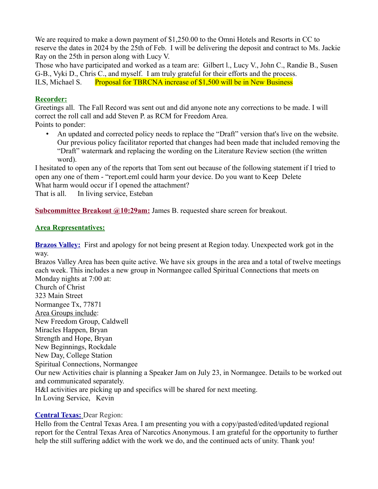We are required to make a down payment of \$1,250.00 to the Omni Hotels and Resorts in CC to reserve the dates in 2024 by the 25th of Feb. I will be delivering the deposit and contract to Ms. Jackie Ray on the 25th in person along with Lucy V.

Those who have participated and worked as a team are: Gilbert l., Lucy V., John C., Randie B., Susen G-B., Vyki D., Chris C., and myself. I am truly grateful for their efforts and the process. ILS, Michael S. Proposal for TBRCNA increase of \$1,500 will be in New Business

# **Recorder:**

Greetings all. The Fall Record was sent out and did anyone note any corrections to be made. I will correct the roll call and add Steven P. as RCM for Freedom Area.

Points to ponder:

• An updated and corrected policy needs to replace the "Draft" version that's live on the website. Our previous policy facilitator reported that changes had been made that included removing the "Draft" watermark and replacing the wording on the Literature Review section (the written word).

I hesitated to open any of the reports that Tom sent out because of the following statement if I tried to open any one of them - "report.eml could harm your device. Do you want to Keep Delete What harm would occur if I opened the attachment?

That is all. In living service, Esteban

**Subcommittee Breakout @10:29am:** James B. requested share screen for breakout.

# **Area Representatives:**

**Brazos Valley:** First and apology for not being present at Region today. Unexpected work got in the way.

Brazos Valley Area has been quite active. We have six groups in the area and a total of twelve meetings each week. This includes a new group in Normangee called Spiritual Connections that meets on Monday nights at 7:00 at: Church of Christ

323 Main Street Normangee Tx, 77871 Area Groups include: New Freedom Group, Caldwell Miracles Happen, Bryan Strength and Hope, Bryan New Beginnings, Rockdale New Day, College Station Spiritual Connections, Normangee Our new Activities chair is planning a Speaker Jam on July 23, in Normangee. Details to be worked out and communicated separately. H&I activities are picking up and specifics will be shared for next meeting. In Loving Service, Kevin

# **Central Texas:** Dear Region:

Hello from the Central Texas Area. I am presenting you with a copy/pasted/edited/updated regional report for the Central Texas Area of Narcotics Anonymous. I am grateful for the opportunity to further help the still suffering addict with the work we do, and the continued acts of unity. Thank you!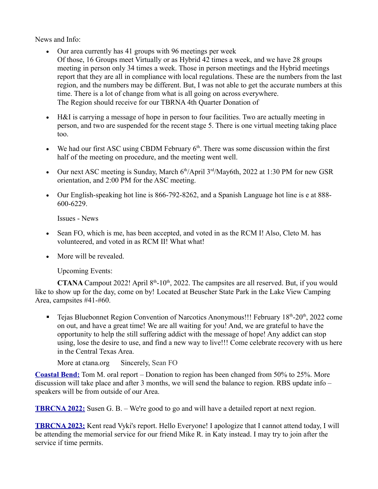News and Info:

- Our area currently has 41 groups with 96 meetings per week
- Of those, 16 Groups meet Virtually or as Hybrid 42 times a week, and we have 28 groups meeting in person only 34 times a week. Those in person meetings and the Hybrid meetings report that they are all in compliance with local regulations. These are the numbers from the last region, and the numbers may be different. But, I was not able to get the accurate numbers at this time. There is a lot of change from what is all going on across everywhere. The Region should receive for our TBRNA 4th Quarter Donation of
- H&I is carrying a message of hope in person to four facilities. Two are actually meeting in person, and two are suspended for the recent stage 5. There is one virtual meeting taking place too.
- We had our first ASC using CBDM February  $6<sup>th</sup>$ . There was some discussion within the first half of the meeting on procedure, and the meeting went well.
- Our next ASC meeting is Sunday, March  $6<sup>th</sup>/April 3<sup>rd</sup>/Mav6th, 2022$  at 1:30 PM for new GSR orientation, and 2:00 PM for the ASC meeting.
- Our English-speaking hot line is 866-792-8262, and a Spanish Language hot line is e at 888- 600-6229.

Issues - News

- Sean FO, which is me, has been accepted, and voted in as the RCM I! Also, Cleto M. has volunteered, and voted in as RCM II! What what!
- More will be revealed.

Upcoming Events:

**CTANA** Campout 2022! April  $8<sup>th</sup>$ -10<sup>th</sup>, 2022. The campsites are all reserved. But, if you would like to show up for the day, come on by! Located at Beuscher State Park in the Lake View Camping Area, campsites #41-#60.

**Tejas Bluebonnet Region Convention of Narcotics Anonymous!!! February 18<sup>th</sup>-20<sup>th</sup>, 2022 come** on out, and have a great time! We are all waiting for you! And, we are grateful to have the opportunity to help the still suffering addict with the message of hope! Any addict can stop using, lose the desire to use, and find a new way to live!!! Come celebrate recovery with us here in the Central Texas Area.

More at ctana.org Sincerely, Sean FO

**Coastal Bend:** Tom M. oral report – Donation to region has been changed from 50% to 25%. More discussion will take place and after 3 months, we will send the balance to region. RBS update info – speakers will be from outside of our Area.

**TBRCNA 2022:** Susen G. B. – We're good to go and will have a detailed report at next region.

**TBRCNA 2023:** Kent read Vyki's report. Hello Everyone! I apologize that I cannot attend today, I will be attending the memorial service for our friend Mike R. in Katy instead. I may try to join after the service if time permits.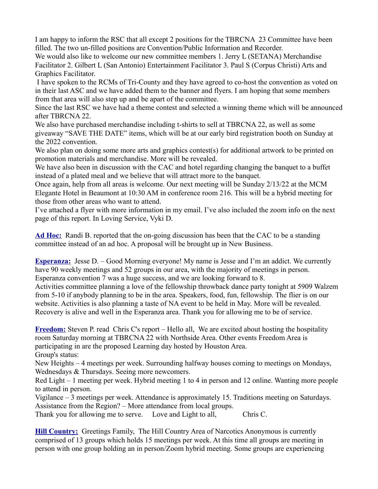I am happy to inform the RSC that all except 2 positions for the TBRCNA 23 Committee have been filled. The two un-filled positions are Convention/Public Information and Recorder.

We would also like to welcome our new committee members 1. Jerry L (SETANA) Merchandise Facilitator 2. Gilbert L (San Antonio) Entertainment Facilitator 3. Paul S (Corpus Christi) Arts and Graphics Facilitator.

 I have spoken to the RCMs of Tri-County and they have agreed to co-host the convention as voted on in their last ASC and we have added them to the banner and flyers. I am hoping that some members from that area will also step up and be apart of the committee.

Since the last RSC we have had a theme contest and selected a winning theme which will be announced after TBRCNA 22.

We also have purchased merchandise including t-shirts to sell at TBRCNA 22, as well as some giveaway "SAVE THE DATE" items, which will be at our early bird registration booth on Sunday at the 2022 convention.

We also plan on doing some more arts and graphics contest(s) for additional artwork to be printed on promotion materials and merchandise. More will be revealed.

We have also been in discussion with the CAC and hotel regarding changing the banquet to a buffet instead of a plated meal and we believe that will attract more to the banquet.

Once again, help from all areas is welcome. Our next meeting will be Sunday 2/13/22 at the MCM Elegante Hotel in Beaumont at 10:30 AM in conference room 216. This will be a hybrid meeting for those from other areas who want to attend.

I've attached a flyer with more information in my email. I've also included the zoom info on the next page of this report. In Loving Service, Vyki D.

**Ad Hoc:** Randi B. reported that the on-going discussion has been that the CAC to be a standing committee instead of an ad hoc. A proposal will be brought up in New Business.

**Esperanza:** Jesse D. – Good Morning everyone! My name is Jesse and I'm an addict. We currently have 90 weekly meetings and 52 groups in our area, with the majority of meetings in person. Esperanza convention 7 was a huge success, and we are looking forward to 8.

Activities committee planning a love of the fellowship throwback dance party tonight at 5909 Walzem from 5-10 if anybody planning to be in the area. Speakers, food, fun, fellowship. The flier is on our website. Activities is also planning a taste of NA event to be held in May. More will be revealed. Recovery is alive and well in the Esperanza area. Thank you for allowing me to be of service.

**Freedom:** Steven P. read Chris C's report – Hello all, We are excited about hosting the hospitality room Saturday morning at TBRCNA 22 with Northside Area. Other events Freedom Area is participating in are the proposed Learning day hosted by Houston Area. Group's status:

New Heights – 4 meetings per week. Surrounding halfway houses coming to meetings on Mondays, Wednesdays & Thursdays. Seeing more newcomers.

Red Light – 1 meeting per week. Hybrid meeting 1 to 4 in person and 12 online. Wanting more people to attend in person.

Vigilance – 3 meetings per week. Attendance is approximately 15. Traditions meeting on Saturdays. Assistance from the Region? – More attendance from local groups.

Thank you for allowing me to serve. Love and Light to all, Chris C.

**Hill Country:** Greetings Family, The Hill Country Area of Narcotics Anonymous is currently comprised of 13 groups which holds 15 meetings per week. At this time all groups are meeting in person with one group holding an in person/Zoom hybrid meeting. Some groups are experiencing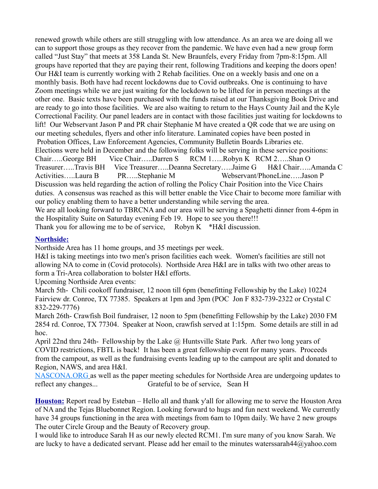renewed growth while others are still struggling with low attendance. As an area we are doing all we can to support those groups as they recover from the pandemic. We have even had a new group form called "Just Stay" that meets at 358 Landa St. New Braunfels, every Friday from 7pm-8:15pm. All groups have reported that they are paying their rent, following Traditions and keeping the doors open! Our H&I team is currently working with 2 Rehab facilities. One on a weekly basis and one on a monthly basis. Both have had recent lockdowns due to Covid outbreaks. One is continuing to have Zoom meetings while we are just waiting for the lockdown to be lifted for in person meetings at the other one. Basic texts have been purchased with the funds raised at our Thanksgiving Book Drive and are ready to go into those facilities. We are also waiting to return to the Hays County Jail and the Kyle Correctional Facility. Our panel leaders are in contact with those facilities just waiting for lockdowns to lift! Our Webservant Jason P and PR chair Stephanie M have created a QR code that we are using on our meeting schedules, flyers and other info literature. Laminated copies have been posted in Probation Offices, Law Enforcement Agencies, Community Bulletin Boards Libraries etc. Elections were held in December and the following folks will be serving in these service positions: Chair…..George BH Vice Chair…..Darren S RCM 1…..Robyn K RCM 2…..Shan O Treasurer…..Travis BH Vice Treasurer…..Deanna Secretary…..Jaime G H&I Chair…..Amanda C Activities…..Laura B PR…..Stephanie M Webservant/PhoneLine…..Jason P Discussion was held regarding the action of rolling the Policy Chair Position into the Vice Chairs duties. A consensus was reached as this will better enable the Vice Chair to become more familiar with our policy enabling them to have a better understanding while serving the area. We are all looking forward to TBRCNA and our area will be serving a Spaghetti dinner from 4-6pm in the Hospitality Suite on Saturday evening Feb 19. Hope to see you there!!! Thank you for allowing me to be of service, Robyn K  $*H&I$  discussion.

# **Northside:**

Northside Area has 11 home groups, and 35 meetings per week.

H&I is taking meetings into two men's prison facilities each week. Women's facilities are still not allowing NA to come in (Covid protocols). Northside Area H&I are in talks with two other areas to form a Tri-Area collaboration to bolster H&I efforts.

Upcoming Northside Area events:

March 5th- Chili cookoff fundraiser, 12 noon till 6pm (benefitting Fellowship by the Lake) 10224 Fairview dr. Conroe, TX 77385. Speakers at 1pm and 3pm (POC Jon F 832-739-2322 or Crystal C 832-229-7776)

March 26th- Crawfish Boil fundraiser, 12 noon to 5pm (benefitting Fellowship by the Lake) 2030 FM 2854 rd. Conroe, TX 77304. Speaker at Noon, crawfish served at 1:15pm. Some details are still in ad hoc.

April 22nd thru 24th- Fellowship by the Lake  $\omega$  Huntsville State Park. After two long years of COVID restrictions, FBTL is back! It has been a great fellowship event for many years. Proceeds from the campout, as well as the fundraising events leading up to the campout are split and donated to Region, NAWS, and area H&I.

[NASCONA.ORG](http://nascona.org/) as well as the paper meeting schedules for Northside Area are undergoing updates to reflect any changes... Grateful to be of service, Sean H

**Houston:** Report read by Esteban – Hello all and thank y'all for allowing me to serve the Houston Area of NA and the Tejas Bluebonnet Region. Looking forward to hugs and fun next weekend. We currently have 34 groups functioning in the area with meetings from 6am to 10pm daily. We have 2 new groups The outer Circle Group and the Beauty of Recovery group.

I would like to introduce Sarah H as our newly elected RCM1. I'm sure many of you know Sarah. We are lucky to have a dedicated servant. Please add her email to the minutes waterssarah44@yahoo.com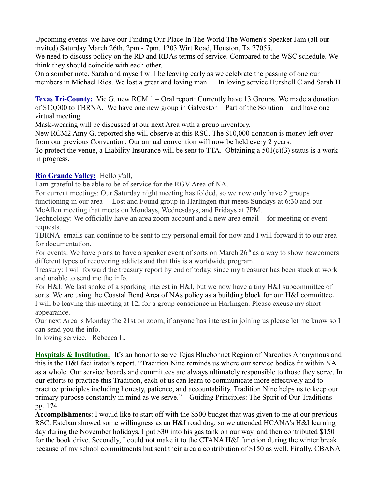Upcoming events we have our Finding Our Place In The World The Women's Speaker Jam (all our invited) Saturday March 26th. 2pm - 7pm. 1203 Wirt Road, Houston, Tx 77055.

We need to discuss policy on the RD and RDAs terms of service. Compared to the WSC schedule. We think they should coincide with each other.

On a somber note. Sarah and myself will be leaving early as we celebrate the passing of one our members in Michael Rios. We lost a great and loving man. In loving service Hurshell C and Sarah H

**Texas Tri-County:** Vic G. new RCM 1 – Oral report: Currently have 13 Groups. We made a donation of \$10,000 to TBRNA. We have one new group in Galveston – Part of the Solution – and have one virtual meeting.

Mask-wearing will be discussed at our next Area with a group inventory.

New RCM2 Amy G. reported she will observe at this RSC. The \$10,000 donation is money left over from our previous Convention. Our annual convention will now be held every 2 years.

To protect the venue, a Liability Insurance will be sent to TTA. Obtaining a  $501(c)(3)$  status is a work in progress.

# **Rio Grande Valley:** Hello y'all,

I am grateful to be able to be of service for the RGV Area of NA.

For current meetings: Our Saturday night meeting has folded, so we now only have 2 groups functioning in our area – Lost and Found group in Harlingen that meets Sundays at 6:30 and our McAllen meeting that meets on Mondays, Wednesdays, and Fridays at 7PM.

Technology: We officially have an area zoom account and a new area email [-](mailto:email-rgvareaofna@yahoo.com) for meeting or event requests.

TBRNA emails can continue to be sent to my personal email for now and I will forward it to our area for documentation.

For events: We have plans to have a speaker event of sorts on March  $26<sup>th</sup>$  as a way to show newcomers different types of recovering addicts and that this is a worldwide program.

Treasury: I will forward the treasury report by end of today, since my treasurer has been stuck at work and unable to send me the info.

For H&I: We last spoke of a sparking interest in H&I, but we now have a tiny H&I subcommittee of sorts. We are using the Coastal Bend Area of NAs policy as a building block for our H&I committee. I will be leaving this meeting at 12, for a group conscience in Harlingen. Please excuse my short appearance.

Our next Area is Monday the 21st on zoom, if anyone has interest in joining us please let me know so I can send you the info.

In loving service, Rebecca L.

**Hospitals & Institution:** It's an honor to serve Tejas Bluebonnet Region of Narcotics Anonymous and this is the H&I facilitator's report. "Tradition Nine reminds us where our service bodies fit within NA as a whole. Our service boards and committees are always ultimately responsible to those they serve. In our efforts to practice this Tradition, each of us can learn to communicate more effectively and to practice principles including honesty, patience, and accountability. Tradition Nine helps us to keep our primary purpose constantly in mind as we serve." Guiding Principles: The Spirit of Our Traditions pg. 174

**Accomplishments**: I would like to start off with the \$500 budget that was given to me at our previous RSC. Esteban showed some willingness as an H&I road dog, so we attended HCANA's H&I learning day during the November holidays. I put \$30 into his gas tank on our way, and then contributed \$150 for the book drive. Secondly, I could not make it to the CTANA H&I function during the winter break because of my school commitments but sent their area a contribution of \$150 as well. Finally, CBANA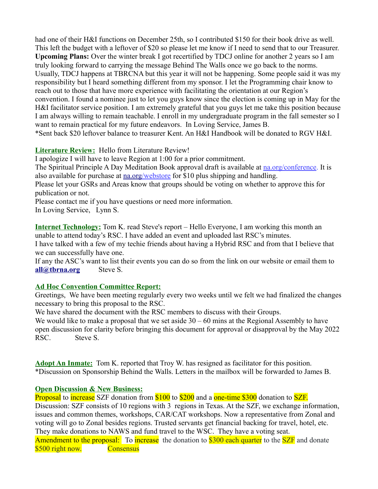had one of their H&I functions on December 25th, so I contributed \$150 for their book drive as well. This left the budget with a leftover of \$20 so please let me know if I need to send that to our Treasurer. **Upcoming Plans:** Over the winter break I got recertified by TDCJ online for another 2 years so I am truly looking forward to carrying the message Behind The Walls once we go back to the norms. Usually, TDCJ happens at TBRCNA but this year it will not be happening. Some people said it was my responsibility but I heard something different from my sponsor. I let the Programming chair know to reach out to those that have more experience with facilitating the orientation at our Region's convention. I found a nominee just to let you guys know since the election is coming up in May for the H&I facilitator service position. I am extremely grateful that you guys let me take this position because I am always willing to remain teachable. I enroll in my undergraduate program in the fall semester so I want to remain practical for my future endeavors. In Loving Service, James B. \*Sent back \$20 leftover balance to treasurer Kent. An H&I Handbook will be donated to RGV H&I.

# **Literature Review:** Hello from Literature Review!

I apologize I will have to leave Region at 1:00 for a prior commitment.

The Spiritual Principle A Day Meditation Book approval draft is available at [na.org/](http://na.org/)conference. It is also available for purchase at <u>na.org/webstore</u> for \$10 plus shipping and handling.

Please let your GSRs and Areas know that groups should be voting on whether to approve this for publication or not.

Please contact me if you have questions or need more information.

In Loving Service, Lynn S.

**Internet Technology:** Tom K. read Steve's report – Hello Everyone, I am working this month an unable to attend today's RSC. I have added an event and uploaded last RSC's minutes.

I have talked with a few of my techie friends about having a Hybrid RSC and from that I believe that we can successfully have one.

If any the ASC's want to list their events you can do so from the link on our website or email them to **all@thrna.org** Steve S.

# **Ad Hoc Convention Committee Report:**

Greetings, We have been meeting regularly every two weeks until we felt we had finalized the changes necessary to bring this proposal to the RSC.

We have shared the document with the RSC members to discuss with their Groups.

We would like to make a proposal that we set aside  $30 - 60$  mins at the Regional Assembly to have open discussion for clarity before bringing this document for approval or disapproval by the May 2022 RSC. Steve S.

**Adopt An Inmate:** Tom K. reported that Troy W. has resigned as facilitator for this position. \*Discussion on Sponsorship Behind the Walls. Letters in the mailbox will be forwarded to James B.

# **Open Discussion & New Business:**

Proposal to increase SZF donation from \$100 to \$200 and a one-time \$300 donation to SZF. Discussion: SZF consists of 10 regions with 3 regions in Texas. At the SZF, we exchange information, issues and common themes, workshops, CAR/CAT workshops. Now a representative from Zonal and voting will go to Zonal besides regions. Trusted servants get financial backing for travel, hotel, etc. They make donations to NAWS and fund travel to the WSC. They have a voting seat. Amendment to the proposal: To increase the donation to \$300 each quarter to the SZF and donate \$500 right now. Consensus